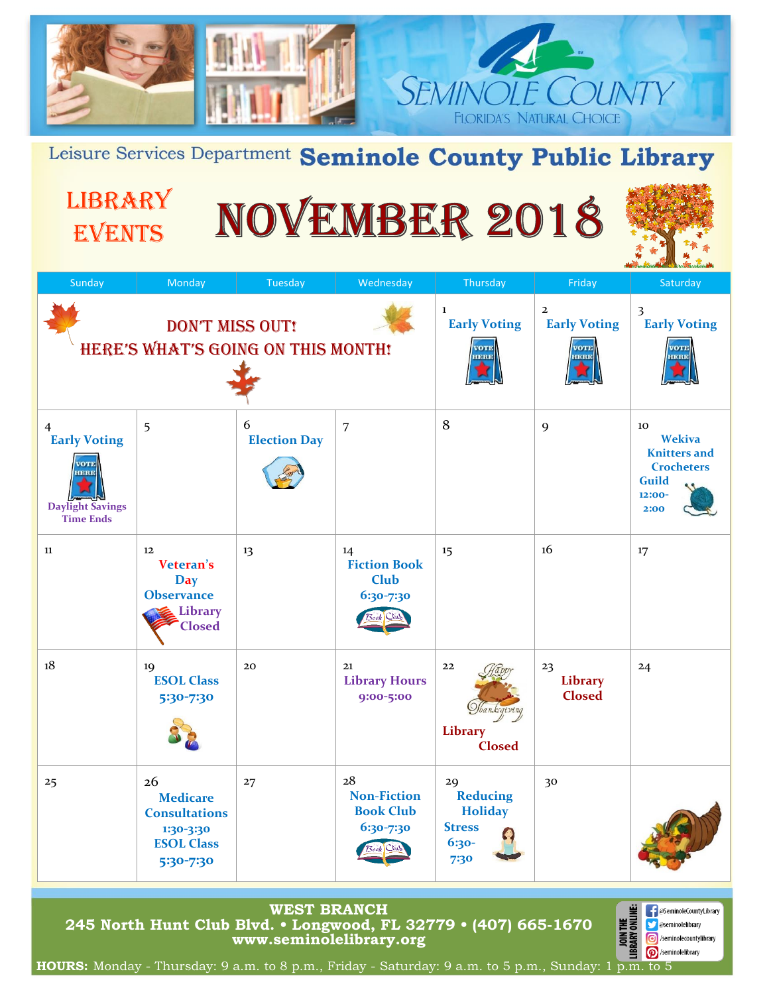

Leisure Services Department Seminole County Public Library

**LIBRARY** 

EVENTS

# NOVEMBER 2018



| Sunday                                                                                                                                                                                                                                                          | Monday                                                                                       | Tuesday                  | Wednesday                                                             | Thursday                                                                               | Friday                                                       | Saturday                                                                                          |
|-----------------------------------------------------------------------------------------------------------------------------------------------------------------------------------------------------------------------------------------------------------------|----------------------------------------------------------------------------------------------|--------------------------|-----------------------------------------------------------------------|----------------------------------------------------------------------------------------|--------------------------------------------------------------|---------------------------------------------------------------------------------------------------|
| <b>DON'T MISS OUT!</b><br><b>HERE'S WHAT'S GOING ON THIS MONTH!</b>                                                                                                                                                                                             |                                                                                              |                          |                                                                       | 1<br><b>Early Voting</b><br>VOTE<br>HERE                                               | $\overline{2}$<br><b>Early Voting</b><br><b>VOTE</b><br>HERE | 3<br><b>Early Voting</b><br><b>VOTE</b><br>HERE                                                   |
| $\overline{4}$<br><b>Early Voting</b><br>IERI<br><b>Daylight Savings</b><br><b>Time Ends</b>                                                                                                                                                                    | 5                                                                                            | 6<br><b>Election Day</b> | $\overline{7}$                                                        | 8                                                                                      | 9                                                            | 10<br><b>Wekiva</b><br><b>Knitters</b> and<br><b>Crocheters</b><br><b>Guild</b><br>12:00-<br>2:00 |
| 11                                                                                                                                                                                                                                                              | 12<br><b>Veteran's</b><br><b>Day</b><br><b>Observance</b><br>Library<br><b>Closed</b>        | 13                       | 14<br><b>Fiction Book</b><br><b>Club</b><br>6:30-7:30                 | 15                                                                                     | 16                                                           | 17                                                                                                |
| 18                                                                                                                                                                                                                                                              | 19<br><b>ESOL Class</b><br>5:30-7:30                                                         | 20                       | 21<br><b>Library Hours</b><br>9:00-5:00                               | 22<br><i>Shanksgiving</i><br>Library<br><b>Closed</b>                                  | 23<br>Library<br><b>Closed</b>                               | 24                                                                                                |
| 25                                                                                                                                                                                                                                                              | 26<br><b>Medicare</b><br><b>Consultations</b><br>1:30-3:30<br><b>ESOL Class</b><br>5:30-7:30 | 27                       | 28<br><b>Non-Fiction</b><br><b>Book Club</b><br>6:30-7:30<br>Book Clu | 29<br><b>Reducing</b><br><b>Holiday</b><br><b>Stress</b><br>$\bullet$<br>6:30-<br>7:30 | 30                                                           |                                                                                                   |
| <b>WEST BRANCH</b><br>JOIN THE<br>RARY ONLINE:<br><b>B</b> @SeminoleCountyLibrary<br>245 North Hunt Club Blvd. • Longwood, FL 32779 • (407) 665-1670<br><b>Sexual Conduction</b> General Assemble<br>www.seminolelibrary.org<br><b>6</b> /seminolecountylibrary |                                                                                              |                          |                                                                       |                                                                                        |                                                              |                                                                                                   |

/seminolelibrary **HOURS:** Monday - Thursday: 9 a.m. to 8 p.m., Friday - Saturday: 9 a.m. to 5 p.m., Sunday: 1 p.m. to 5